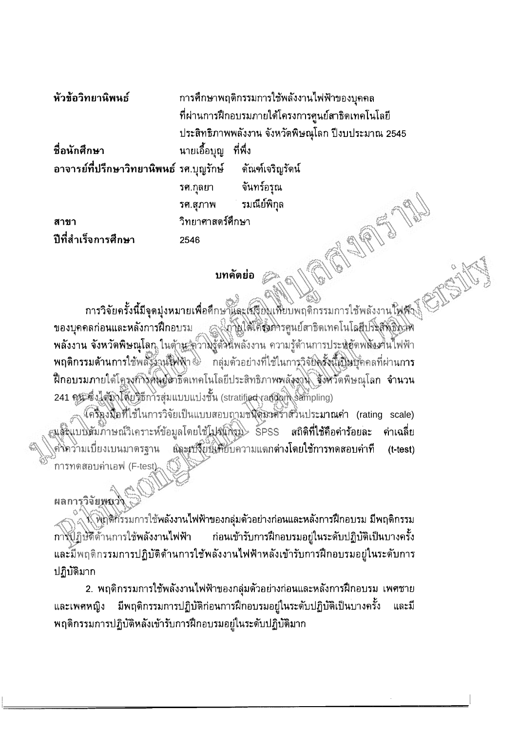การศึกษาพฤติกรรมการใช้พลังงานไฟฟ้าของบุคคล ที่ผ่านการฝึกอบรมภายใต้โครงการศูนย์สาธิดเทคโนโลยี ประสิทธิภาพพลังงาน จังหวัดพิษณุโลก ปีงบประมาณ 2545

ที่อนักศึกษา นายเอื้อบุญ ที่พึ่ง

อาจารย์ที่ปรึกษาวิทยานิพนธ์ รศ.บุญรักษ์ ดัณฑ์เจริญรัตน์ จันทร์อรุณ รศ.กุลยา รมณีย์พิกุล รศ.สุภาพ

สาขา ปีที่สำเร็จการศึกษา

หัวข้อวิทยานิพนธ์

## บทคัดย่อ

วิทยาศาสตร์ศึกษา

2546

การวิจัยครั้งนี้มีจุดมุ่งหมายเพื่อศึกษาและเมรียมเหียบพฤติกรรมการใช้พลังงานใฟฟ้า สามให้โครงคารศูนย์สาธิตเทคโนโลยีปริสุสิทธิ์ทาง ของบุคคลก่อนและหลังการฝึกอบรม พลังงาน จังหวัดพิษณุโลก ในด้าน ความรู้ด้วนพลังงาน ความรู้ด้านการประหยัดพลังเข้าน้ำพพ้า พฤติกรรมด้านการใช้พลังังวุนฟีฟฟ้า�� กลุ่มตัวอย่างที่ใช้ในการวิจัยครั้งนี้เป็นบุ๊คคลที่ผ่านการ ฝึกอบรมภายใต้โครงกำังคันยู่ลาธิ์ดเทคโนโลยีประสิทธิภาพพลังงาน จังหวัดพิษณุโลก จำนวน 241 คน ซึ่งได้มาโดยจิธีการสุ่มแบบแบ่งชั้น (stratified random sampling)

โครี่ถุงมือที่ใช้ในการวิจัยเป็นแบบสอบถามชนิดัมวดร้าสวินประมาณค่า (rating scale) <sub>ส</sub>แล้รแบบสัมภาษณ์วิเคราะห์ข้อมูลโตยใช้โปรแก้รม SPSS สถิติ**ที่ใช้คือค่าร้อยละ** ค่าเฉลี่ย :<br>ผละเปลี่ยนเพียบความแตกต่างโดยใช้การทดสอบค่าที คงิคว่ามเบี่ยงเบนมาตรฐาน  $(t-test)$ การทดสอบค่าเอฟ (F-test)

## ผลการวิจัยพ<sub>ั</sub>นวั

∖้ พิฏติกิรรมการใช้พลังงานไฟฟ้าของกลุ่มตัวอย่างก่อนและหลังการฝึกอบรม มีพฤติกรรม การปฏิษัติด้านการใช้พลังงานไฟฟ้า ี ก่อนเข้ารับการฝึกอบรมอยู่ในระดับปฏิบัติเป็นบางครั้ง ้และมีพฤติกรรมการปฏิบัติด้านการใช้พลังงานไฟฟ้าหลังเข้ารับการฝึกอบรมอยู่ในระดับการ ปฏิบัติมาก

่ 2. พฤดิกรรมการใช้พลังงานไฟฟ้าของกลุ่มตัวอย่างก่อนและหลังการฝึกอบรม เพศชาย ้มีพฤติกรรมการปฏิบัติก่อนการฝึกอบรมอยู่ในระดับปฏิบัติเป็นบางครั้ง และเพศหญิง และมี พฤติกรรมการปฏิบัติหลังเข้ารับการฝึกอบรมอยู่ในระดับปฏิบัติมาก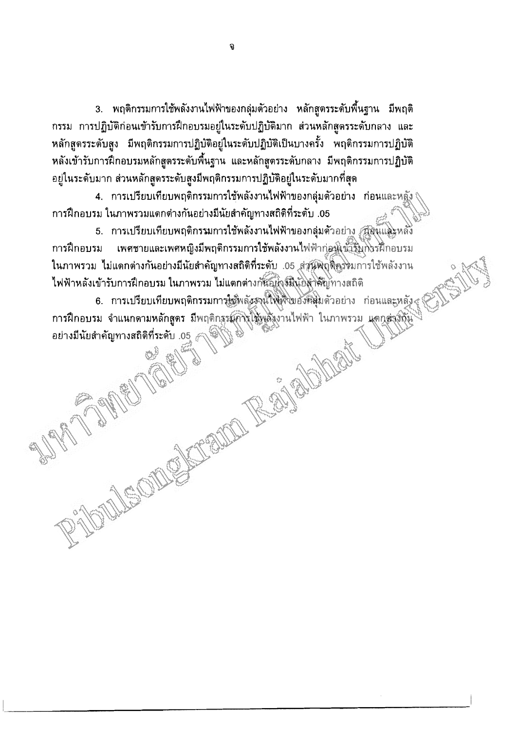่ 3. พฤติกรรมการใช้พลังงานไฟฟ้าของกลุ่มตัวอย่าง หลักสูตรระดับพื้นฐาน มีพฤติ กรรม การปฏิบัติก่อนเข้ารับการฝึกอบรมอยู่ในระดับปฏิบัติมาก ส่วนหลักสูตรระดับกลาง และ หลักสูตรระดับสูง มีพฤติกรรมการปฏิบัติอยู่ในระดับปฏิบัติเป็นบางครั้ง พฤติกรรมการปฏิบัติ หลังเข้ารับการฝึกอบรมหลักสูตรระดับพื้นฐาน และหลักสูตรระดับกลาง มีพฤติกรรมการปฏิบัติ ้อยู่ในระดับมาก ส่วนหลักสูตรระดับสูงมีพฤติกรรมการปฏิบัติอยู่ในระดับมากที่สุด

4. การเปรียบเทียบพฤติกรรมการใช้พลังงานไฟฟ้าของกลุ่มตัวอย่าง ก่อนและหลัง การฝึกอบรม ในภาพรวมแดกต่างกันอย่างมีนัยสำคัญทางสถิติที่ระดับ .05

5. การเปรียบเทียบพฤติกรรมการใช้พลังงานไฟฟ้าของกลุ่มด้วอย่าง สองและหลัง เพศชายและเพศหญิงมีพฤติกรรมการใช้พลังงานไฟฟ้าก่อนเข้ารับกิ่งรฝึกอบรม การฝึกอบรม ในภาพรวม ไม่แดกต่างกันอย่างมีนัยสำคัญทางสถิติที่ระดับ .05 ส่วนฟัญสีคูรรมการใช้พลังงาน ไฟฟ้าหลังเข้ารับการฝึกอบรม ในภาพรวม ไม่แตกต่างกันอยุ่งจัมินัยสำคัญทางสถิติ

6. การเปรียบเทียบพฤติกรรมการใช้พลังสานให้เงินของคลุ่มด้วอย่าง ก่อนและหลัง๔ การฝึกอบรม จำแนกดามหลักสูตร มีพฤติกรรมกิจใช้พลังงานไฟฟ้า ในภาพรวม แตกต่างกัน The Parties of the Coleman อย่างมีนัยสำคัญทางสถิติที่ระดับ .05  $\mathscr J$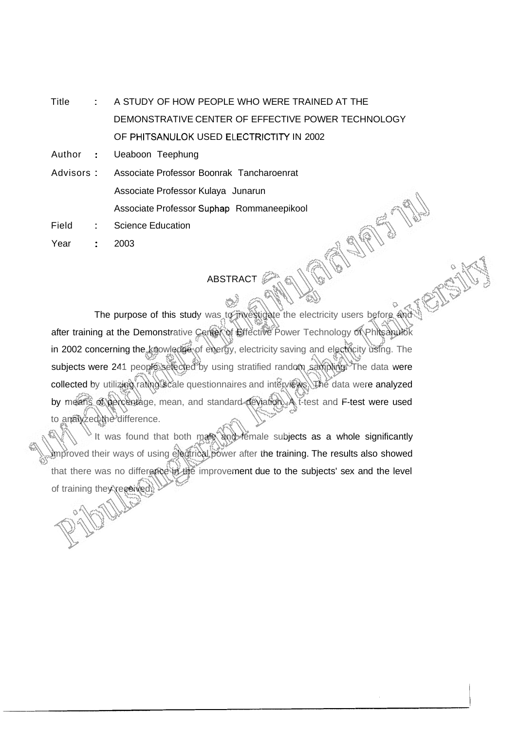Title : A STUDY OF HOW PEOPLE WHO WERE TRAINED AT THE DEMONSTRATIVE CENTER OF EFFECTIVE POWER TECHNOLOGY OF PHITSANULOK USED ELECTRICTITY IN 2002

Author : Ueaboon Teephung

Advisors : Associate Professor Boonrak Tancharoenrat Associate Professor Kulaya Junarun Associate Professor Suphap Rommaneepikool

Field : Science Education

Year : 2003

## ABSTRACT

The purpose of this study was to investigate the electricity users before and after training at the Demonstrative Center of Effective Power Technology of Phitsanulok in 2002 concerning the knowledge of energy, electricity saving and electricity using. The subjects were 241 people selected by using stratified random sampling. The data were collected by utilizing rating scale questionnaires and interviews. The data were analyzed by means of percentage, mean, and standard deviation. A t-test and F-test were used to analyzed the difference.

It was found that both mare and female subjects as a whole significantly improved their ways of using electrical power after the training. The results also showed that there was no difference in the improvement due to the subjects' sex and the level of training they received.